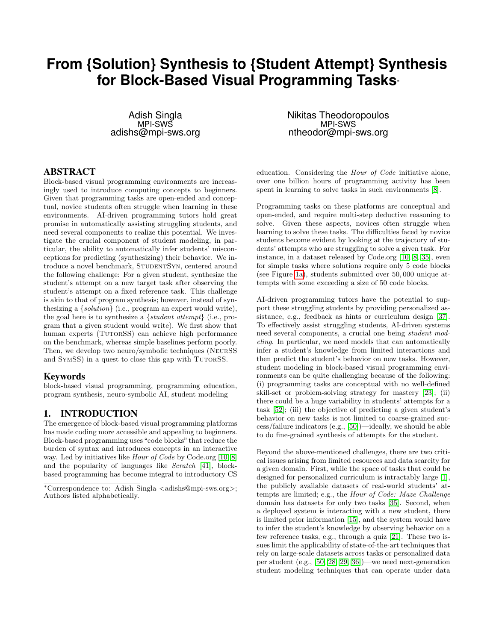# **From {Solution} Synthesis to {Student Attempt} Synthesis for Block-Based Visual Programming Tasks**<sup>∗</sup>

Adish Singla MPI-SWS adishs@mpi-sws.org

### ABSTRACT

Block-based visual programming environments are increasingly used to introduce computing concepts to beginners. Given that programming tasks are open-ended and conceptual, novice students often struggle when learning in these environments. AI-driven programming tutors hold great promise in automatically assisting struggling students, and need several components to realize this potential. We investigate the crucial component of student modeling, in particular, the ability to automatically infer students' misconceptions for predicting (synthesizing) their behavior. We introduce a novel benchmark, STUDENTSYN, centered around the following challenge: For a given student, synthesize the student's attempt on a new target task after observing the student's attempt on a fixed reference task. This challenge is akin to that of program synthesis; however, instead of synthesizing a {solution} (i.e., program an expert would write), the goal here is to synthesize a {student attempt} (i.e., program that a given student would write). We first show that human experts (TUTORSS) can achieve high performance on the benchmark, whereas simple baselines perform poorly. Then, we develop two neuro/symbolic techniques (NeurSS and SYMSS) in a quest to close this gap with TUTORSS.

#### Keywords

block-based visual programming, programming education, program synthesis, neuro-symbolic AI, student modeling

# 1. INTRODUCTION

The emergence of block-based visual programming platforms has made coding more accessible and appealing to beginners. Block-based programming uses "code blocks" that reduce the burden of syntax and introduces concepts in an interactive way. Led by initiatives like *Hour of Code* by Code.org [\[10,](#page-6-0) [8\]](#page-6-1) and the popularity of languages like Scratch [\[41\]](#page-7-0), blockbased programming has become integral to introductory CS Nikitas Theodoropoulos MPI-SWS ntheodor@mpi-sws.org

education. Considering the Hour of Code initiative alone, over one billion hours of programming activity has been spent in learning to solve tasks in such environments  $[8]$ .

Programming tasks on these platforms are conceptual and open-ended, and require multi-step deductive reasoning to solve. Given these aspects, novices often struggle when learning to solve these tasks. The difficulties faced by novice students become evident by looking at the trajectory of students' attempts who are struggling to solve a given task. For instance, in a dataset released by Code.org [\[10,](#page-6-0) [8,](#page-6-1) [35\]](#page-7-1), even for simple tasks where solutions require only 5 code blocks (see Figure [1a\)](#page-1-0), students submitted over 50, 000 unique attempts with some exceeding a size of 50 code blocks.

AI-driven programming tutors have the potential to support these struggling students by providing personalized assistance, e.g., feedback as hints or curriculum design [\[37\]](#page-7-2). To effectively assist struggling students, AI-driven systems need several components, a crucial one being student modeling. In particular, we need models that can automatically infer a student's knowledge from limited interactions and then predict the student's behavior on new tasks. However, student modeling in block-based visual programming environments can be quite challenging because of the following: (i) programming tasks are conceptual with no well-defined skill-set or problem-solving strategy for mastery [\[23\]](#page-6-2); (ii) there could be a huge variability in students' attempts for a task [\[52\]](#page-7-3); (iii) the objective of predicting a given student's behavior on new tasks is not limited to coarse-grained success/failure indicators (e.g., [\[50\]](#page-7-4))—ideally, we should be able to do fine-grained synthesis of attempts for the student.

Beyond the above-mentioned challenges, there are two critical issues arising from limited resources and data scarcity for a given domain. First, while the space of tasks that could be designed for personalized curriculum is intractably large [\[1\]](#page-6-3), the publicly available datasets of real-world students' attempts are limited; e.g., the Hour of Code: Maze Challenge domain has datasets for only two tasks [\[35\]](#page-7-1). Second, when a deployed system is interacting with a new student, there is limited prior information [\[15\]](#page-6-4), and the system would have to infer the student's knowledge by observing behavior on a few reference tasks, e.g., through a quiz [\[21\]](#page-6-5). These two issues limit the applicability of state-of-the-art techniques that rely on large-scale datasets across tasks or personalized data per student (e.g., [\[50,](#page-7-4) [28,](#page-6-6) [29,](#page-6-7) [36\]](#page-7-5))—we need next-generation student modeling techniques that can operate under data

<sup>∗</sup>Correspondence to: Adish Singla <adishs@mpi-sws.org>; Authors listed alphabetically.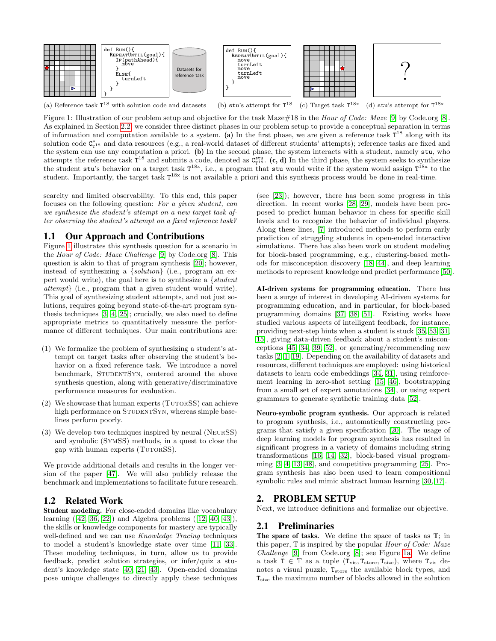<span id="page-1-0"></span>

(a) Reference task  $T^{18}$  with solution code and datasets (b) stu's attempt for  $T^{18}$ <sup>18</sup> (c) Target task  $T^{18x}$ (d) stu's attempt for  $T^{18x}$ 

Figure 1: Illustration of our problem setup and objective for the task Maze#18 in the *Hour of Code: Maze* [\[9\]](#page-6-8) by Code.org [\[8\]](#page-6-1). As explained in Section [2.2,](#page-2-0) we consider three distinct phases in our problem setup to provide a conceptual separation in terms of information and computation available to a system. (a) In the first phase, we are given a reference task  $T^{18}$  along with its solution code  $C_{T^{18}}^{\star}$  and data resources (e.g., a real-world dataset of different students' attempts); reference tasks are fixed and the system can use any computation a priori. (b) In the second phase, the system interacts with a student, namely stu, who attempts the reference task  $T^{18}$  and submits a code, denoted as  $C_{T^{18}}^{stu}$ . (c, d) In the third phase, the system seeks to synthesize the student stu's behavior on a target task  $T^{18x}$ , i.e., a program that stu would write if the system would assign  $T^{18x}$  to the student. Importantly, the target task  $T^{18x}$  is not available a priori and this synthesis process would be done in real-time.

scarcity and limited observability. To this end, this paper focuses on the following question: For a given student, can we synthesize the student's attempt on a new target task after observing the student's attempt on a fixed reference task?

### 1.1 Our Approach and Contributions

Figure [1](#page-1-0) illustrates this synthesis question for a scenario in the Hour of Code: Maze Challenge [\[9\]](#page-6-8) by Code.org [\[8\]](#page-6-1). This question is akin to that of program synthesis [\[20\]](#page-6-9); however, instead of synthesizing a {solution} (i.e., program an expert would write), the goal here is to synthesize a {student attempt} (i.e., program that a given student would write). This goal of synthesizing student attempts, and not just solutions, requires going beyond state-of-the-art program synthesis techniques [\[3,](#page-6-10) [4,](#page-6-11) [25\]](#page-6-12); crucially, we also need to define appropriate metrics to quantitatively measure the performance of different techniques. Our main contributions are:

- (1) We formalize the problem of synthesizing a student's attempt on target tasks after observing the student's behavior on a fixed reference task. We introduce a novel benchmark, STUDENTSYN, centered around the above synthesis question, along with generative/discriminative performance measures for evaluation.
- $(2)$  We showcase that human experts (TUTORSS) can achieve high performance on STUDENTSYN, whereas simple baselines perform poorly.
- (3) We develop two techniques inspired by neural (NeurSS) and symbolic (SymSS) methods, in a quest to close the gap with human experts (TUTORSS).

We provide additional details and results in the longer version of the paper [\[47\]](#page-7-6). We will also publicly release the benchmark and implementations to facilitate future research.

# 1.2 Related Work

Student modeling. For close-ended domains like vocabulary learning ([\[42,](#page-7-7) [36,](#page-7-5) [22\]](#page-6-13)) and Algebra problems ([\[12,](#page-6-14) [40,](#page-7-8) [43\]](#page-7-9)), the skills or knowledge components for mastery are typically well-defined and we can use *Knowledge Tracing* techniques to model a student's knowledge state over time [\[11,](#page-6-15) [33\]](#page-7-10). These modeling techniques, in turn, allow us to provide feedback, predict solution strategies, or infer/quiz a student's knowledge state [\[40,](#page-7-8) [21,](#page-6-5) [43\]](#page-7-9). Open-ended domains pose unique challenges to directly apply these techniques

(see [\[23\]](#page-6-2)); however, there has been some progress in this direction. In recent works [\[28,](#page-6-6) [29\]](#page-6-7), models have been proposed to predict human behavior in chess for specific skill levels and to recognize the behavior of individual players. Along these lines, [\[7\]](#page-6-16) introduced methods to perform early prediction of struggling students in open-ended interactive simulations. There has also been work on student modeling for block-based programming, e.g., clustering-based methods for misconception discovery [\[18,](#page-6-17) [44\]](#page-7-11), and deep learning methods to represent knowledge and predict performance [\[50\]](#page-7-4).

AI-driven systems for programming education. There has been a surge of interest in developing AI-driven systems for programming education, and in particular, for block-based programming domains [\[37,](#page-7-2) [38,](#page-7-12) [51\]](#page-7-13). Existing works have studied various aspects of intelligent feedback, for instance, providing next-step hints when a student is stuck [\[35,](#page-7-1) [53,](#page-7-14) [31,](#page-6-18) [15\]](#page-6-4), giving data-driven feedback about a student's misconceptions [\[45,](#page-7-15) [34,](#page-7-16) [39,](#page-7-17) [52\]](#page-7-3), or generating/recommending new tasks [\[2,](#page-6-19) [1,](#page-6-3) [19\]](#page-6-20). Depending on the availability of datasets and resources, different techniques are employed: using historical datasets to learn code embeddings [\[34,](#page-7-16) [31\]](#page-6-18), using reinforcement learning in zero-shot setting [\[15,](#page-6-4) [46\]](#page-7-18), bootstrapping from a small set of expert annotations [\[34\]](#page-7-16), or using expert grammars to generate synthetic training data [\[52\]](#page-7-3).

Neuro-symbolic program synthesis. Our approach is related to program synthesis, i.e., automatically constructing programs that satisfy a given specification [\[20\]](#page-6-9). The usage of deep learning models for program synthesis has resulted in significant progress in a variety of domains including string transformations [\[16,](#page-6-21) [14,](#page-6-22) [32\]](#page-7-19), block-based visual programming [\[3,](#page-6-10) [4,](#page-6-11) [13,](#page-6-23) [48\]](#page-7-20), and competitive programming [\[25\]](#page-6-12). Program synthesis has also been used to learn compositional symbolic rules and mimic abstract human learning [\[30,](#page-6-24) [17\]](#page-6-25).

# 2. PROBLEM SETUP

Next, we introduce definitions and formalize our objective.

### 2.1 Preliminaries

The space of tasks. We define the space of tasks as T; in this paper,  $\mathbb T$  is inspired by the popular *Hour of Code: Maze* Challenge [\[9\]](#page-6-8) from Code.org [\[8\]](#page-6-1); see Figure [1a.](#page-1-0) We define a task  $T \in \mathbb{T}$  as a tuple  $(T_{vis}, T_{store}, T_{size})$ , where  $T_{vis}$  denotes a visual puzzle,  $T_{\text{store}}$  the available block types, and Tsize the maximum number of blocks allowed in the solution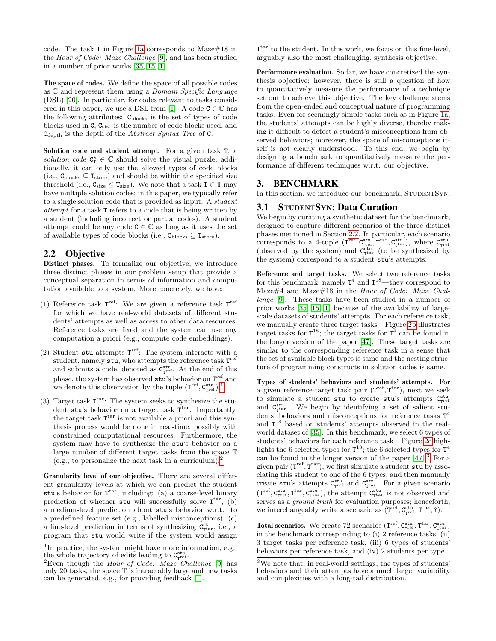code. The task T in Figure [1a](#page-1-0) corresponds to Maze#18 in the Hour of Code: Maze Challenge [\[9\]](#page-6-8), and has been studied in a number of prior works [\[35,](#page-7-1) [15,](#page-6-4) [1\]](#page-6-3).

The space of codes. We define the space of all possible codes as  $\mathbb C$  and represent them using a *Domain Specific Language* (DSL) [\[20\]](#page-6-9). In particular, for codes relevant to tasks consid-ered in this paper, we use a DSL from [\[1\]](#page-6-3). A code  $C \in \mathbb{C}$  has the following attributes:  $C_{\text{blocks}}$  is the set of types of code blocks used in  $\mathsf{C}, \mathsf{C}_{\text{size}}$  is the number of code blocks used, and  $C_{\text{depth}}$  is the depth of the *Abstract Syntax Tree* of C.

Solution code and student attempt. For a given task T, a solution code  $C^{\star}_{T} \in \mathbb{C}$  should solve the visual puzzle; additionally, it can only use the allowed types of code blocks (i.e.,  $C_{\text{blocks}} \subseteq T_{\text{store}}$ ) and should be within the specified size threshold (i.e.,  $C_{size} \leq T_{size}$ ). We note that a task  $T \in \mathbb{T}$  may have multiple solution codes; in this paper, we typically refer to a single solution code that is provided as input. A student attempt for a task T refers to a code that is being written by a student (including incorrect or partial codes). A student attempt could be any code  $C \in \mathbb{C}$  as long as it uses the set of available types of code blocks (i.e.,  $C_{\text{blocks}} \subseteq T_{\text{store}}$ ).

# <span id="page-2-0"></span>2.2 Objective

Distinct phases. To formalize our objective, we introduce three distinct phases in our problem setup that provide a conceptual separation in terms of information and computation available to a system. More concretely, we have:

- (1) Reference task  $T^{\text{ref}}$ : We are given a reference task  $T^{\text{ref}}$ for which we have real-world datasets of different students' attempts as well as access to other data resources. Reference tasks are fixed and the system can use any computation a priori (e.g., compute code embeddings).
- (2) Student stu attempts  $T^{\text{ref}}$ : The system interacts with a student, namely stu, who attempts the reference task  $T^{\text{ref}}$ and submits a code, denoted as  $C_{\text{rref}}^{\text{stu}}$ . At the end of this phase, the system has observed  $stu's$  behavior on  $T^{\text{ref}}$  and we denote this observation by the tuple  $(T^{\text{ref}}, C^{\text{stu}}_{T^{\text{ref}}})$ .<sup>[1](#page-2-1)</sup>
- (3) Target task  $T<sup>tar</sup>$ : The system seeks to synthesize the student stu's behavior on a target task  $T<sup>tar</sup>$ . Importantly, the target task  $T<sup>tar</sup>$  is not available a priori and this synthesis process would be done in real-time, possibly with constrained computational resources. Furthermore, the system may have to synthesize the stu's behavior on a large number of different target tasks from the space T (e.g., to personalize the next task in a curriculum).<sup>[2](#page-2-2)</sup>

Granularity level of our objective. There are several different granularity levels at which we can predict the student stu's behavior for  $T<sup>tar</sup>$ , including: (a) a coarse-level binary prediction of whether stu will successfully solve  $T^{\text{tar}}$ , (b) a medium-level prediction about stu's behavior w.r.t. to a predefined feature set (e.g., labelled misconceptions); (c) a fine-level prediction in terms of synthesizing  $C_{\text{t}}^{\text{stu}}$ , i.e., a program that stu would write if the system would assign

T<sup>tar</sup> to the student. In this work, we focus on this fine-level, arguably also the most challenging, synthesis objective.

Performance evaluation. So far, we have concretized the synthesis objective; however, there is still a question of how to quantitatively measure the performance of a technique set out to achieve this objective. The key challenge stems from the open-ended and conceptual nature of programming tasks. Even for seemingly simple tasks such as in Figure [1a,](#page-1-0) the students' attempts can be highly diverse, thereby making it difficult to detect a student's misconceptions from observed behaviors; moreover, the space of misconceptions itself is not clearly understood. To this end, we begin by designing a benchmark to quantitatively measure the performance of different techniques w.r.t. our objective.

# 3. BENCHMARK

In this section, we introduce our benchmark, STUDENTSYN.

# 3.1 STUDENTSYN: Data Curation

We begin by curating a synthetic dataset for the benchmark, designed to capture different scenarios of the three distinct phases mentioned in Section [2.2.](#page-2-0) In particular, each scenario corresponds to a 4-tuple  $(T^{\text{ref}}, C^{\text{stu}}_{T^{\text{ref}}}, T^{\text{tar}}, C^{\text{stu}}_{T^{\text{tar}}})$ , where  $C^{\text{stu}}_{T^{\text{ref}}}$  (observed by the system) and  $C^{\text{stu}}_{T^{\text{tar}}}$  (to be synthesized by the system) correspond to a student stu's attempts.

Reference and target tasks. We select two reference tasks for this benchmark, namely  $T^4$  and  $T^{18}$ —they correspond to Maze#4 and Maze#18 in the Hour of Code: Maze Challenge [\[9\]](#page-6-8). These tasks have been studied in a number of prior works [\[35,](#page-7-1) [15,](#page-6-4) [1\]](#page-6-3) because of the availability of largescale datasets of students' attempts. For each reference task, we manually create three target tasks—Figure [2b](#page-3-0) illustrates target tasks for  $T^{18}$ ; the target tasks for  $T^4$  can be found in the longer version of the paper [\[47\]](#page-7-6). These target tasks are similar to the corresponding reference task in a sense that the set of available block types is same and the nesting structure of programming constructs in solution codes is same.

Types of students' behaviors and students' attempts. For a given reference-target task pair  $(T^{\text{ref}}, T^{\text{tar}})$ , next we seek to simulate a student stu to create stu's attempts  $C_{\text{rref}}^{\text{stu}}$ and  $C_{\text{rtar}}^{\text{stu}}$ . We begin by identifying a set of salient students' behaviors and misconceptions for reference tasks  $T^4$ and T <sup>18</sup> based on students' attempts observed in the realworld dataset of [\[35\]](#page-7-1). In this benchmark, we select 6 types of students' behaviors for each reference task—Figure [2c](#page-3-0) highlights the 6 selected types for  $T^{18}$ ; the 6 selected types for  $T^4$ can be found in the longer version of the paper  $[47]$ .<sup>[3](#page-2-3)</sup> For a given pair  $(T^{\text{ref}}, T^{\text{tar}})$ , we first simulate a student stu by associating this student to one of the 6 types, and then manually create stu's attempts  $C_{\text{rref}}^{\text{stu}}$  and  $C_{\text{rtar}}^{\text{stu}}$ . For a given scenario  $(T^{\rm ref}, C^{\rm stu}_{T^{\rm ter}}, T^{\rm tar}, C^{\rm stu}_{T^{\rm tar}}),$  the attempt  $C^{\rm stu}_{T^{\rm tar}}$  is not observed and serves as a *ground truth* for evaluation purposes; henceforth, we interchangeably write a scenario as  $(T^{\text{ref}}, C^{\text{stu}}_{T^{\text{ref}}}, T^{\text{tar}}, ?)$ .

Total scenarios. We create 72 scenarios  $(T^{ref}, C^{stu}_{T^{ref}}, T^{tar}, C^{stu}_{T^{tar}})$ in the benchmark corresponding to (i) 2 reference tasks, (ii) 3 target tasks per reference task, (iii) 6 types of students' behaviors per reference task, and (iv) 2 students per type.

<span id="page-2-1"></span><sup>&</sup>lt;sup>1</sup>In practice, the system might have more information, e.g., the whole trajectory of edits leading to  $C_{\text{rref}}^{\text{stu}}$ .

<span id="page-2-2"></span><sup>&</sup>lt;sup>2</sup>Even though the *Hour of Code: Maze Challenge* [\[9\]](#page-6-8) has only 20 tasks, the space T is intractably large and new tasks can be generated, e.g., for providing feedback [\[1\]](#page-6-3).

<span id="page-2-3"></span> ${}^{3}\mathrm{We}$  note that, in real-world settings, the types of students' behaviors and their attempts have a much larger variability and complexities with a long-tail distribution.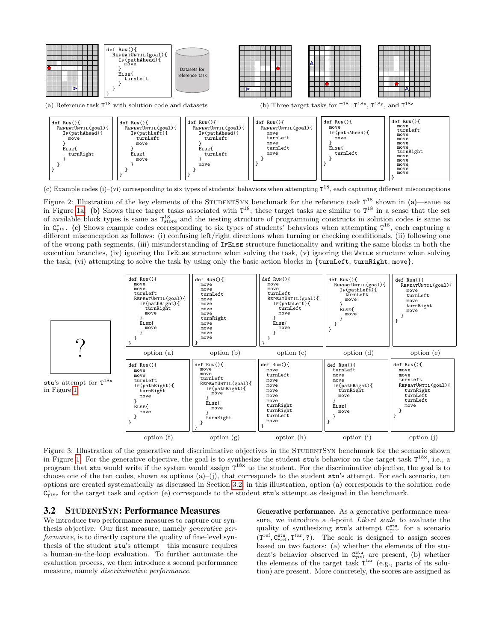<span id="page-3-0"></span>

(c) Example codes (i)–(vi) corresponding to six types of students' behaviors when attempting  $T^{18}$ , each capturing different misconceptions

Figure 2: Illustration of the key elements of the STUDENTSYN benchmark for the reference task  $T^{18}$  shown in (a)—same as in Figure [1a.](#page-1-0) (b) Shows three target tasks associated with  $T^{18}$ ; these target tasks are similar to  $T^{18}$  in a sense that the set of available block types is same as  $T_{\text{store}}^{18}$  and the nesting structure of programming constructs in solution codes is same as in  $C_{T^{18}}^{\star}$ . (c) Shows example codes corresponding to six types of students' behaviors when attempting  $T^{18}$ , each capturing a different misconception as follows: (i) confusing left/right directions when turning or checking conditionals, (ii) following one of the wrong path segments, (iii) misunderstanding of IfElse structure functionality and writing the same blocks in both the execution branches, (iv) ignoring the IfElse structure when solving the task, (v) ignoring the While structure when solving the task, (vi) attempting to solve the task by using only the basic action blocks in {turnLeft, turnRight, move}.

<span id="page-3-2"></span>

Figure 3: Illustration of the generative and discriminative objectives in the STUDENTSYN benchmark for the scenario shown in Figure [1.](#page-1-0) For the generative objective, the goal is to synthesize the student  $stu's$  behavior on the target task  $T^{18x}$ , i.e., a program that stu would write if the system would assign  $T^{18x}$  to the student. For the discriminative objective, the goal is to choose one of the ten codes, shown as options  $(a)$ –(j), that corresponds to the student stu's attempt. For each scenario, ten options are created systematically as discussed in Section [3.2;](#page-3-1) in this illustration, option (a) corresponds to the solution code  $C_{T^{18x}}^*$  for the target task and option (e) corresponds to the student stu's attempt as designed in the benchmark.

### <span id="page-3-1"></span>3.2 STUDENTSYN: Performance Measures

We introduce two performance measures to capture our synthesis objective. Our first measure, namely generative performance, is to directly capture the quality of fine-level synthesis of the student stu's attempt—this measure requires a human-in-the-loop evaluation. To further automate the evaluation process, we then introduce a second performance measure, namely *discriminative performance*.

Generative performance. As a generative performance measure, we introduce a 4-point Likert scale to evaluate the quality of synthesizing  $stu's$  attempt  $C_{\text{t}}^{\text{stu}}$  for a scenario  $(T^{\text{ref}}, C^{\text{stu}}_{T^{\text{ref}}}, T^{\text{tar}}, ?)$ . The scale is designed to assign scores based on two factors: (a) whether the elements of the student's behavior observed in  $C_{\text{rref}}^{\text{stu}}$  are present, (b) whether the elements of the target task  $T<sup>tar</sup>$  (e.g., parts of its solution) are present. More concretely, the scores are assigned as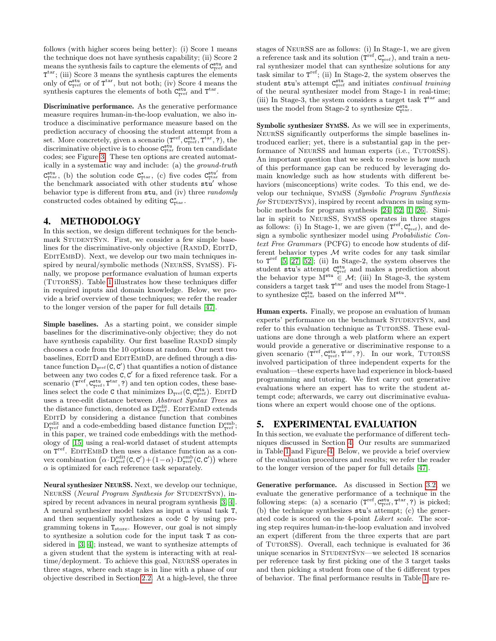follows (with higher scores being better): (i) Score 1 means the technique does not have synthesis capability; (ii) Score 2 means the synthesis fails to capture the elements of  $C_{\text{rref}}^{\text{stu}}$  and  $T<sup>tar</sup>$ ; (iii) Score 3 means the synthesis captures the elements only of  $C_{\text{Tref}}^{\text{stu}}$  or of  $T^{\text{tar}}$ , but not both; (iv) Score 4 means the synthesis captures the elements of both  $C_{\text{rref}}^{\text{stu}}$  and  $T^{\text{tar}}$ .

Discriminative performance. As the generative performance measure requires human-in-the-loop evaluation, we also introduce a disciminative performance measure based on the prediction accuracy of choosing the student attempt from a set. More concretely, given a scenario  $(T^{\text{ref}}, C^{\text{stu}}_{T^{\text{ref}}}, T^{\text{tar}}, ?)$ , the discriminative objective is to choose  $C_{\text{t}}^{\text{stu}}$  from ten candidate codes; see Figure [3.](#page-3-2) These ten options are created automatically in a systematic way and include: (a) the ground-truth  $C_{\tau_{\text{tar}}}^{\text{stu}}$ , (b) the solution code  $C_{\tau_{\text{tar}}}^{\star}$ , (c) five codes  $C_{\tau_{\text{tar}}}^{\text{stu}'}$  from the benchmark associated with other students stu' whose behavior type is different from stu, and (iv) three *randomly* constructed codes obtained by editing  $C^*_{\tau^{tar}}$ .

### <span id="page-4-0"></span>4. METHODOLOGY

In this section, we design different techniques for the benchmark STUDENTSYN. First, we consider a few simple baselines for the discriminative-only objective (RANDD, EDITD, EDITEMBD). Next, we develop our two main techniques inspired by neural/symbolic methods (NeurSS, SymSS). Finally, we propose performance evaluation of human experts (TutorSS). Table [1](#page-5-0) illustrates how these techniques differ in required inputs and domain knowledge. Below, we provide a brief overview of these techniques; we refer the reader to the longer version of the paper for full details [\[47\]](#page-7-6).

Simple baselines. As a starting point, we consider simple baselines for the discriminative-only objective; they do not have synthesis capability. Our first baseline RANDD simply chooses a code from the 10 options at random. Our next two baselines, EDITD and EDITEMBD, are defined through a distance function  $D_{T^{ref}}(C, C')$  that quantifies a notion of distance between any two codes  $C, C'$  for a fixed reference task. For a scenario  $(T^{\text{ref}}, C^{\text{stu}}_{T^{\text{ref}}}, T^{\text{tar}}, ?)$  and ten option codes, these baselines select the code  $C$  that minimizes  $\mathbf{D}_{\text{rref}}(\texttt{C},\texttt{C}_{\text{rref}}^{\texttt{stu}})$  .  $\text{EDITD}$ uses a tree-edit distance between Abstract Syntax Trees as the distance function, denoted as  $D_{\text{rref}}^{\text{edit}}$ . EDITEMBD extends EditD by considering a distance function that combines  $\mathcal{D}^{\text{edit}}_{\text{rref}}$  and a code-embedding based distance function  $\mathcal{D}^{\text{emb}}_{\text{rref}};$ in this paper, we trained code embeddings with the methodology of [\[15\]](#page-6-4) using a real-world dataset of student attempts on  $T^{\text{ref}}$ . EDITEMBD then uses a distance function as a convex combination  $(\alpha \cdot D_{\text{rref}}^{\text{edit}}(C, C') + (1 - \alpha) \cdot D_{\text{rref}}^{\text{emb}}(C, C'))$  where  $\alpha$  is optimized for each reference task separately.

Neural synthesizer NEURSS. Next, we develop our technique, NEURSS (Neural Program Synthesis for STUDENTSYN), inspired by recent advances in neural program synthesis [\[3,](#page-6-10) [4\]](#page-6-11). A neural synthesizer model takes as input a visual task T, and then sequentially synthesizes a code C by using programming tokens in  $T_{\text{store}}$ . However, our goal is not simply to synthesize a solution code for the input task T as considered in [\[3,](#page-6-10) [4\]](#page-6-11); instead, we want to synthesize attempts of a given student that the system is interacting with at realtime/deployment. To achieve this goal, NeurSS operates in three stages, where each stage is in line with a phase of our objective described in Section [2.2.](#page-2-0) At a high-level, the three stages of NeurSS are as follows: (i) In Stage-1, we are given a reference task and its solution  $(T^{\text{ref}}, C^{\star}_{T^{\text{ref}}})$ , and train a neural synthesizer model that can synthesize solutions for any task similar to  $T^{\text{ref}}$ ; (ii) In Stage-2, the system observes the student  $\texttt{stu's}$  attempt  $\texttt{C}_{\texttt{Tref}}^{\texttt{stu}}$  and initiates *continual training* of the neural synthesizer model from Stage-1 in real-time; (iii) In Stage-3, the system considers a target task  $T<sup>tar</sup>$  and uses the model from Stage-2 to synthesize  $C_{\tau^{\text{tar}}}^{\text{stu}}$ .

Symbolic synthesizer SYMSS. As we will see in experiments, NeurSS significantly outperforms the simple baselines introduced earlier; yet, there is a substantial gap in the performance of NEURSS and human experts (i.e., TUTORSS). An important question that we seek to resolve is how much of this performance gap can be reduced by leveraging domain knowledge such as how students with different behaviors (misconceptions) write codes. To this end, we develop our technique, SymSS (Symbolic Program Synthesis  $for$  STUDENTSYN), inspired by recent advances in using symbolic methods for program synthesis [\[24,](#page-6-26) [52,](#page-7-3) [1,](#page-6-3) [26\]](#page-6-27). Similar in spirit to NeurSS, SymSS operates in three stages as follows: (i) In Stage-1, we are given  $(T^{\text{ref}}, C^{\star}_{T^{\text{ref}}})$ , and design a symbolic synthesizer model using Probabilistic Context Free Grammars (PCFG) to encode how students of different behavior types  $M$  write codes for any task similar to  $T^{\text{ref}}$  [\[5,](#page-6-28) [27,](#page-6-29) [52\]](#page-7-3); (ii) In Stage-2, the system observes the student stu's attempt  $C_{\text{rref}}^{\text{stu}}$  and makes a prediction about the behavior type  $M^{\text{stu}} \in \mathcal{M}$ ; (iii) In Stage-3, the system considers a target task  $T<sup>tar</sup>$  and uses the model from Stage-1 to synthesize  $C_{\text{rtar}}^{\text{stu}}$  based on the inferred  $M^{\text{stu}}$ .

Human experts. Finally, we propose an evaluation of human experts' performance on the benchmark STUDENTSYN, and refer to this evaluation technique as TUTORSS. These evaluations are done through a web platform where an expert would provide a generative or discriminative response to a given scenario  $(T^{\text{ref}}, C^{\text{stu}}_{T^{\text{ref}}}, T^{\text{tar}}, ?)$ . In our work, TUTORSS involved participation of three independent experts for the evaluation—these experts have had experience in block-based programming and tutoring. We first carry out generative evaluations where an expert has to write the student attempt code; afterwards, we carry out discriminative evaluations where an expert would choose one of the options.

# 5. EXPERIMENTAL EVALUATION

In this section, we evaluate the performance of different techniques discussed in Section [4.](#page-4-0) Our results are summarized in Table [1](#page-5-0) and Figure [4.](#page-5-1) Below, we provide a brief overview of the evaluation procedures and results; we refer the reader to the longer version of the paper for full details [\[47\]](#page-7-6).

Generative performance. As discussed in Section [3.2,](#page-3-1) we evaluate the generative performance of a technique in the following steps: (a) a scenario  $(T^{\text{ref}}, C^{\text{stu}}_{\text{rref}}, T^{\text{tar}}, ?)$  is picked; (b) the technique synthesizes stu's attempt; (c) the generated code is scored on the 4-point Likert scale. The scoring step requires human-in-the-loop evaluation and involved an expert (different from the three experts that are part of TutorSS). Overall, each technique is evaluated for 36 unique scenarios in STUDENTSYN—we selected 18 scenarios per reference task by first picking one of the 3 target tasks and then picking a student from one of the 6 different types of behavior. The final performance results in Table [1](#page-5-0) are re-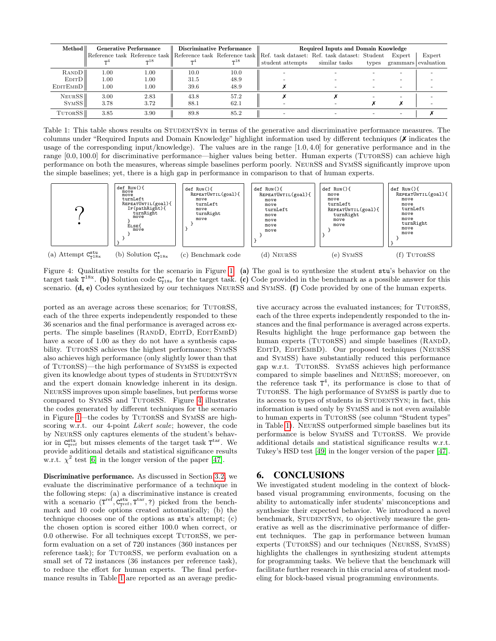<span id="page-5-0"></span>

| Method                | <b>Generative Performance</b> |          | Discriminative Performance |       | Required Inputs and Domain Knowledge                                                                      |               |       |        |                     |
|-----------------------|-------------------------------|----------|----------------------------|-------|-----------------------------------------------------------------------------------------------------------|---------------|-------|--------|---------------------|
|                       |                               | $-18$    |                            | $-18$ | Reference task Reference task Reference task Reference task Ref. task dataset: Ref. task dataset: Student |               |       | Expert | Expert              |
|                       |                               |          |                            |       | student attempts                                                                                          | similar tasks | types |        | grammars evaluation |
| RANDD <sup>I</sup>    | 1.00                          | 1.00     | 10.0                       | 10.0  |                                                                                                           |               |       |        |                     |
| Edit D <sup>1</sup>   | 1.00                          | $1.00\,$ | 31.5                       | 48.9  |                                                                                                           |               |       |        |                     |
| EDITEMBD <sup>1</sup> | 1.00                          | $1.00\,$ | 39.6                       | 48.9  |                                                                                                           |               |       |        |                     |
| NEURSS <sup>II</sup>  | 3.00                          | 2.83     | 43.8                       | 57.2  |                                                                                                           |               |       |        |                     |
| SYMSS <sup>I</sup>    | 3.78                          | 3.72     | 88.1                       | 62.1  |                                                                                                           |               |       |        |                     |
| TUTORSS <sup>I</sup>  | 3.85                          | 3.90     | 89.8                       | 85.2  |                                                                                                           |               |       |        |                     |

Table 1: This table shows results on STUDENTSYN in terms of the generative and discriminative performance measures. The columns under "Required Inputs and Domain Knowledge" highlight information used by different techniques (✗ indicates the usage of the corresponding input/knowledge). The values are in the range [1.0, 4.0] for generative performance and in the range [0.0, 100.0] for discriminative performance—higher values being better. Human experts (TUTORSS) can achieve high performance on both the measures, whereas simple baselines perform poorly. NeurSS and SymSS significantly improve upon the simple baselines; yet, there is a high gap in performance in comparison to that of human experts.

<span id="page-5-1"></span>

Figure 4: Qualitative results for the scenario in Figure [1.](#page-1-0) (a) The goal is to synthesize the student stu's behavior on the target task  $T^{18x}$ . (b) Solution code  $C_{T^{18x}}^{\star}$  for the target task. (c) Code provided in the benchmark as a possible answer for this scenario. (d, e) Codes synthesized by our techniques NEURSS and SYMSS. (f) Code provided by one of the human experts.

ported as an average across these scenarios; for TUTORSS, each of the three experts independently responded to these 36 scenarios and the final performance is averaged across experts. The simple baselines (RANDD, EDITD, EDITEMBD) have a score of 1.00 as they do not have a synthesis capability. TUTORSS achieves the highest performance; SYMSS also achieves high performance (only slightly lower than that of TutorSS)—the high performance of SymSS is expected given its knowledge about types of students in STUDENTSYN and the expert domain knowledge inherent in its design. NeurSS improves upon simple baselines, but performs worse compared to SYMSS and TUTORSS. Figure [4](#page-5-1) illustrates the codes generated by different techniques for the scenario in Figure [1—](#page-1-0)the codes by TutorSS and SymSS are highscoring w.r.t. our 4-point Likert scale; however, the code by NeurSS only captures elements of the student's behavior in  $C_{\text{rref}}^{\text{stu}}$  but misses elements of the target task  $T^{\text{tar}}$ . We provide additional details and statistical significance results w.r.t.  $\chi^2$  test [\[6\]](#page-6-30) in the longer version of the paper [\[47\]](#page-7-6).

Discriminative performance. As discussed in Section [3.2,](#page-3-1) we evaluate the discriminative performance of a technique in the following steps: (a) a discriminative instance is created with a scenario  $(T^{\text{ref}}, C^{\text{stu}}_{T^{\text{ref}}}, T^{\text{tar}}, ?)$  picked from the benchmark and 10 code options created automatically; (b) the technique chooses one of the options as stu's attempt; (c) the chosen option is scored either 100.0 when correct, or 0.0 otherwise. For all techniques except TUTORSS, we perform evaluation on a set of 720 instances (360 instances per reference task); for TUTORSS, we perform evaluation on a small set of 72 instances (36 instances per reference task), to reduce the effort for human experts. The final performance results in Table [1](#page-5-0) are reported as an average predictive accuracy across the evaluated instances; for TUTORSS, each of the three experts independently responded to the instances and the final performance is averaged across experts. Results highlight the huge performance gap between the human experts (TUTORSS) and simple baselines (RANDD, EDITD, EDITEMBD). Our proposed techniques (NEURSS) and SymSS) have substantially reduced this performance gap w.r.t. TutorSS. SymSS achieves high performance compared to simple baselines and NeurSS; moreoever, on the reference task  $T^4$ , its performance is close to that of TutorSS. The high performance of SymSS is partly due to its access to types of students in STUDENTSYN; in fact, this information is used only by SymSS and is not even available to human experts in TUTORSS (see column "Student types" in Table [1\)](#page-5-0). NeurSS outperformed simple baselines but its performance is below SymSS and TutorSS. We provide additional details and statistical significance results w.r.t. Tukey's HSD test [\[49\]](#page-7-21) in the longer version of the paper [\[47\]](#page-7-6).

# 6. CONCLUSIONS

We investigated student modeling in the context of blockbased visual programming environments, focusing on the ability to automatically infer students' misconceptions and synthesize their expected behavior. We introduced a novel benchmark, STUDENTSYN, to objectively measure the generative as well as the discriminative performance of different techniques. The gap in performance between human experts (TutorSS) and our techniques (NeurSS, SymSS) highlights the challenges in synthesizing student attempts for programming tasks. We believe that the benchmark will facilitate further research in this crucial area of student modeling for block-based visual programming environments.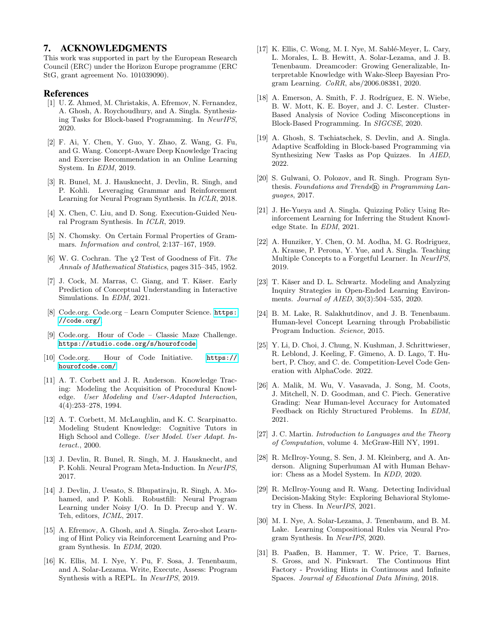### 7. ACKNOWLEDGMENTS

This work was supported in part by the European Research Council (ERC) under the Horizon Europe programme (ERC StG, grant agreement No. 101039090).

#### References

- <span id="page-6-3"></span>[1] U. Z. Ahmed, M. Christakis, A. Efremov, N. Fernandez, A. Ghosh, A. Roychoudhury, and A. Singla. Synthesizing Tasks for Block-based Programming. In NeurIPS, 2020.
- <span id="page-6-19"></span>[2] F. Ai, Y. Chen, Y. Guo, Y. Zhao, Z. Wang, G. Fu, and G. Wang. Concept-Aware Deep Knowledge Tracing and Exercise Recommendation in an Online Learning System. In EDM, 2019.
- <span id="page-6-10"></span>[3] R. Bunel, M. J. Hausknecht, J. Devlin, R. Singh, and P. Kohli. Leveraging Grammar and Reinforcement Learning for Neural Program Synthesis. In ICLR, 2018.
- <span id="page-6-11"></span>[4] X. Chen, C. Liu, and D. Song. Execution-Guided Neural Program Synthesis. In ICLR, 2019.
- <span id="page-6-28"></span>[5] N. Chomsky. On Certain Formal Properties of Grammars. Information and control, 2:137–167, 1959.
- <span id="page-6-30"></span>[6] W. G. Cochran. The  $\chi$ 2 Test of Goodness of Fit. The Annals of Mathematical Statistics, pages 315–345, 1952.
- <span id="page-6-16"></span>[7] J. Cock, M. Marras, C. Giang, and T. Käser. Early Prediction of Conceptual Understanding in Interactive Simulations. In EDM, 2021.
- <span id="page-6-1"></span>[8] Code.org. Code.org – Learn Computer Science. [https:](https://code.org/) [//code.org/](https://code.org/).
- <span id="page-6-8"></span>[9] Code.org. Hour of Code – Classic Maze Challenge. <https://studio.code.org/s/hourofcode>.
- <span id="page-6-0"></span>[10] Code.org. Hour of Code Initiative. [https://](https://hourofcode.com/) [hourofcode.com/](https://hourofcode.com/).
- <span id="page-6-15"></span>[11] A. T. Corbett and J. R. Anderson. Knowledge Tracing: Modeling the Acquisition of Procedural Knowledge. User Modeling and User-Adapted Interaction, 4(4):253–278, 1994.
- <span id="page-6-14"></span>[12] A. T. Corbett, M. McLaughlin, and K. C. Scarpinatto. Modeling Student Knowledge: Cognitive Tutors in High School and College. User Model. User Adapt. Interact., 2000.
- <span id="page-6-23"></span>[13] J. Devlin, R. Bunel, R. Singh, M. J. Hausknecht, and P. Kohli. Neural Program Meta-Induction. In NeurIPS, 2017.
- <span id="page-6-22"></span>[14] J. Devlin, J. Uesato, S. Bhupatiraju, R. Singh, A. Mohamed, and P. Kohli. Robustfill: Neural Program Learning under Noisy I/O. In D. Precup and Y. W. Teh, editors, ICML, 2017.
- <span id="page-6-4"></span>[15] A. Efremov, A. Ghosh, and A. Singla. Zero-shot Learning of Hint Policy via Reinforcement Learning and Program Synthesis. In EDM, 2020.
- <span id="page-6-21"></span>[16] K. Ellis, M. I. Nye, Y. Pu, F. Sosa, J. Tenenbaum, and A. Solar-Lezama. Write, Execute, Assess: Program Synthesis with a REPL. In NeurIPS, 2019.
- <span id="page-6-25"></span>[17] K. Ellis, C. Wong, M. I. Nye, M. Sablé-Meyer, L. Cary, L. Morales, L. B. Hewitt, A. Solar-Lezama, and J. B. Tenenbaum. Dreamcoder: Growing Generalizable, Interpretable Knowledge with Wake-Sleep Bayesian Program Learning. CoRR, abs/2006.08381, 2020.
- <span id="page-6-17"></span>[18] A. Emerson, A. Smith, F. J. Rodríguez, E. N. Wiebe, B. W. Mott, K. E. Boyer, and J. C. Lester. Cluster-Based Analysis of Novice Coding Misconceptions in Block-Based Programming. In SIGCSE, 2020.
- <span id="page-6-20"></span>[19] A. Ghosh, S. Tschiatschek, S. Devlin, and A. Singla. Adaptive Scaffolding in Block-based Programming via Synthesizing New Tasks as Pop Quizzes. In AIED, 2022.
- <span id="page-6-9"></span>[20] S. Gulwani, O. Polozov, and R. Singh. Program Synthesis. Foundations and Trends $\widehat{R}$  in Programming Languages, 2017.
- <span id="page-6-5"></span>[21] J. He-Yueya and A. Singla. Quizzing Policy Using Reinforcement Learning for Inferring the Student Knowledge State. In EDM, 2021.
- <span id="page-6-13"></span>[22] A. Hunziker, Y. Chen, O. M. Aodha, M. G. Rodriguez, A. Krause, P. Perona, Y. Yue, and A. Singla. Teaching Multiple Concepts to a Forgetful Learner. In NeurIPS, 2019.
- <span id="page-6-2"></span>[23] T. Käser and D. L. Schwartz. Modeling and Analyzing Inquiry Strategies in Open-Ended Learning Environments. Journal of AIED, 30(3):504–535, 2020.
- <span id="page-6-26"></span>[24] B. M. Lake, R. Salakhutdinov, and J. B. Tenenbaum. Human-level Concept Learning through Probabilistic Program Induction. Science, 2015.
- <span id="page-6-12"></span>[25] Y. Li, D. Choi, J. Chung, N. Kushman, J. Schrittwieser, R. Leblond, J. Keeling, F. Gimeno, A. D. Lago, T. Hubert, P. Choy, and C. de. Competition-Level Code Generation with AlphaCode. 2022.
- <span id="page-6-27"></span>[26] A. Malik, M. Wu, V. Vasavada, J. Song, M. Coots, J. Mitchell, N. D. Goodman, and C. Piech. Generative Grading: Near Human-level Accuracy for Automated Feedback on Richly Structured Problems. In EDM, 2021.
- <span id="page-6-29"></span>[27] J. C. Martin. *Introduction to Languages and the Theory* of Computation, volume 4. McGraw-Hill NY, 1991.
- <span id="page-6-6"></span>[28] R. McIlroy-Young, S. Sen, J. M. Kleinberg, and A. Anderson. Aligning Superhuman AI with Human Behavior: Chess as a Model System. In KDD, 2020.
- <span id="page-6-7"></span>[29] R. McIlroy-Young and R. Wang. Detecting Individual Decision-Making Style: Exploring Behavioral Stylometry in Chess. In NeurIPS, 2021.
- <span id="page-6-24"></span>[30] M. I. Nye, A. Solar-Lezama, J. Tenenbaum, and B. M. Lake. Learning Compositional Rules via Neural Program Synthesis. In NeurIPS, 2020.
- <span id="page-6-18"></span>[31] B. Paaßen, B. Hammer, T. W. Price, T. Barnes, S. Gross, and N. Pinkwart. The Continuous Hint Factory - Providing Hints in Continuous and Infinite Spaces. Journal of Educational Data Mining, 2018.